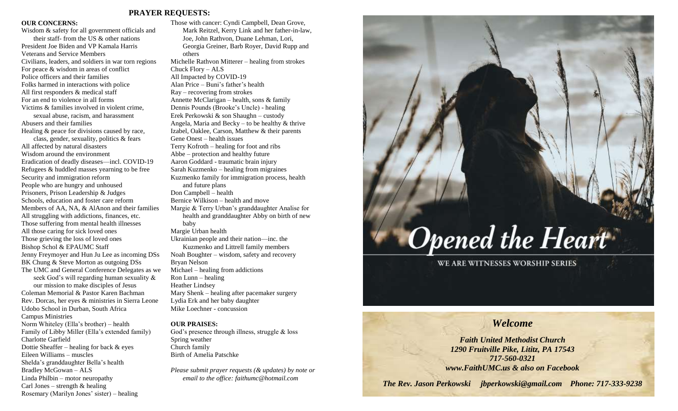# **PRAYER REQUESTS:**

# **OUR CONCERNS:**

Wisdom & safety for all government officials and their staff- from the US & other nations President Joe Biden and VP Kamala Harris Veterans and Service Members Civilians, leaders, and soldiers in war torn regions For peace & wisdom in areas of conflict Police officers and their families Folks harmed in interactions with police All first responders & medical staff For an end to violence in all forms Victims & families involved in violent crime, sexual abuse, racism, and harassment Abusers and their families Healing & peace for divisions caused by race, class, gender, sexuality, politics & fears All affected by natural disasters Wisdom around the environment Eradication of deadly diseases—incl. COVID-19 Refugees & huddled masses yearning to be free Security and immigration reform People who are hungry and unhoused Prisoners, Prison Leadership & Judges Schools, education and foster care reform Members of AA, NA, & AlAnon and their families All struggling with addictions, finances, etc. Those suffering from mental health illnesses All those caring for sick loved ones Those grieving the loss of loved ones Bishop Schol & EPAUMC Staff Jenny Freymoyer and Hun Ju Lee as incoming DSs BK Chung & Steve Morton as outgoing DSs The UMC and General Conference Delegates as we seek God's will regarding human sexuality & our mission to make disciples of Jesus Coleman Memorial & Pastor Karen Bachman Rev. Dorcas, her eyes & ministries in Sierra Leone Udobo School in Durban, South Africa Campus Ministries Norm Whiteley (Ella's brother) – health Family of Libby Miller (Ella's extended family) Charlotte Garfield Dottie Sheaffer – healing for back  $\&$  eyes Eileen Williams – muscles Shelda's granddaughter Bella's health Bradley McGowan – ALS Linda Philbin – motor neuropathy

Carl Jones – strength  $&$  healing

Rosemary (Marilyn Jones' sister) – healing

Those with cancer: Cyndi Campbell, Dean Grove, Mark Reitzel, Kerry Link and her father-in-law, Joe, John Rathvon, Duane Lehman, Lori, Georgia Greiner, Barb Royer, David Rupp and others Michelle Rathvon Mitterer – healing from strokes Chuck Flory – ALS All Impacted by COVID-19 Alan Price – Buni's father's health Ray – recovering from strokes Annette McClarigan – health, sons & family Dennis Pounds (Brooke's Uncle) - healing Erek Perkowski & son Shaughn – custody Angela, Maria and Becky – to be healthy  $\&$  thrive Izabel, Oaklee, Carson, Matthew & their parents Gene Onest – health issues Terry Kofroth – healing for foot and ribs Abbe – protection and healthy future Aaron Goddard - traumatic brain injury Sarah Kuzmenko – healing from migraines Kuzmenko family for immigration process, health and future plans Don Campbell – health Bernice Wilkison – health and move Margie & Terry Urban's granddaughter Analise for health and granddaughter Abby on birth of new baby Margie Urban health Ukrainian people and their nation—inc. the Kuzmenko and Littrell family members Noah Boughter – wisdom, safety and recovery Bryan Nelson Michael – healing from addictions Ron Lunn – healing Heather Lindsey Mary Shenk – healing after pacemaker surgery Lydia Erk and her baby daughter Mike Loechner - concussion

# **OUR PRAISES:**

God's presence through illness, struggle & loss Spring weather Church family Birth of Amelia Patschke

*Please submit prayer requests (& updates) by note or email to the office: faithumc@hotmail.com*

# **Opened the Heart**

WE ARE WITNESSES WORSHIP SERIES

# *Welcome*

*Faith United Methodist Church 1290 Fruitville Pike, Lititz, PA 17543 717-560-0321 www.FaithUMC.us & also on Facebook*

*The Rev. Jason Perkowski jbperkowski@gmail.com Phone: 717-333-9238*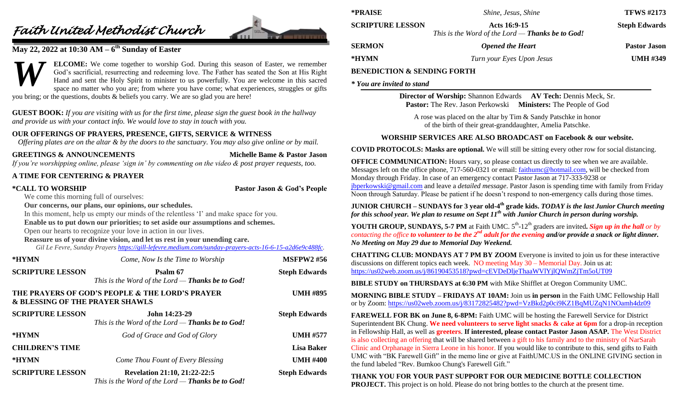# *Faith United Methodist Church*



# **May 22, 2022 at 10:30 AM – 6 th Sunday of Easter**

**ELCOME:** We come together to worship God. During this season of Easter, we remember God's sacrificial, resurrecting and redeeming love. The Father has seated the Son at His Right Hand and sent the Holy Spirit to minister to us powerfully. You are welcome in this sacred space no matter who you are; from where you have come; what experiences, struggles or gifts you bring; or the questions, doubts & beliefs you carry. We are so glad you are here! *W*

**GUEST BOOK:** *If you are visiting with us for the first time, please sign the guest book in the hallway and provide us with your contact info. We would love to stay in touch with you.*

# **OUR OFFERINGS OF PRAYERS, PRESENCE, GIFTS, SERVICE & WITNESS**

*Offering plates are on the altar & by the doors to the sanctuary. You may also give online or by mail.*

# **GREETINGS & ANNOUNCEMENTS Michelle Bame & Pastor Jason**

*If you're worshipping online, please 'sign in' by commenting on the video & post prayer requests, too.*

# **A TIME FOR CENTERING & PRAYER**

**\*CALL TO WORSHIP Pastor Jason & God's People**

We come this morning full of ourselves:

**Our concerns, our plans, our opinions, our schedules.**

In this moment, help us empty our minds of the relentless 'I' and make space for you.

# **Enable us to put down our priorities; to set aside our assumptions and schemes.**

Open our hearts to recognize your love in action in our lives.

# **Reassure us of your divine vision, and let us rest in your unending care.**

*Gil Le Fevre, Sunday Prayers [https://gill-lefevre.medium.com/sunday-prayers-acts-16-6-15-a2d6e9c488fc.](https://gill-lefevre.medium.com/sunday-prayers-acts-16-6-15-a2d6e9c488fc)*

| *HYMN                           | Come, Now Is the Time to Worship                                                 | <b>MSFPW2#56</b>     |
|---------------------------------|----------------------------------------------------------------------------------|----------------------|
| <b>SCRIPTURE LESSON</b>         | Psalm 67<br>This is the Word of the Lord - Thanks be to God!                     | <b>Steph Edwards</b> |
| & BLESSING OF THE PRAYER SHAWLS | THE PRAYERS OF GOD'S PEOPLE & THE LORD'S PRAYER                                  | <b>UMH #895</b>      |
| <b>SCRIPTURE LESSON</b>         | John 14:23-29<br>This is the Word of the Lord $-$ Thanks be to God!              | <b>Steph Edwards</b> |
| *HYMN                           | God of Grace and God of Glory                                                    | <b>UMH #577</b>      |
| <b>CHILDREN'S TIME</b>          |                                                                                  | <b>Lisa Baker</b>    |
| *HYMN                           | Come Thou Fount of Every Blessing                                                | <b>UMH #400</b>      |
| <b>SCRIPTURE LESSON</b>         | Revelation 21:10, 21:22-22:5<br>This is the Word of the Lord - Thanks be to God! | <b>Steph Edwards</b> |

| *PRAISE                 | <i>Shine, Jesus, Shine</i>                                              | <b>TFWS #2173</b>    |
|-------------------------|-------------------------------------------------------------------------|----------------------|
| <b>SCRIPTURE LESSON</b> | Acts 16:9-15<br>This is the Word of the Lord — <b>Thanks be to God!</b> | <b>Steph Edwards</b> |
| <b>SERMON</b>           | <b>Opened the Heart</b>                                                 | <b>Pastor Jason</b>  |

# **\*HYMN** *Turn your Eyes Upon Jesus* **UMH #349**

# **BENEDICTION & SENDING FORTH**

*\* You are invited to stand*

**Director of Worship:** Shannon Edwards **AV Tech:** Dennis Meck, Sr. **Pastor:** The Rev. Jason Perkowski **Ministers:** The People of God

A rose was placed on the altar by Tim & Sandy Patschke in honor of the birth of their great-granddaughter, Amelia Patschke.

# **WORSHIP SERVICES ARE ALSO BROADCAST on Facebook & our website.**

**COVID PROTOCOLS: Masks are optional.** We will still be sitting every other row for social distancing.

**OFFICE COMMUNICATION:** Hours vary, so please contact us directly to see when we are available. Messages left on the office phone, 717-560-0321 or email: [faithumc@hotmail.com,](mailto:faithumc@hotmail.com) will be checked from Monday through Friday. In case of an emergency contact Pastor Jason at 717-333-9238 or [jbperkowski@gmail.com](mailto:jbperkowski@gmail.com) and leave a *detailed message*. Pastor Jason is spending time with family from Friday Noon through Saturday. Please be patient if he doesn't respond to non-emergency calls during those times.

**JUNIOR CHURCH – SUNDAYS for 3 year old-4<sup>th</sup> grade kids.** *TODAY is the last Junior Church meeting for this school year. We plan to resume on Sept 11th with Junior Church in person during worship.*

**YOUTH GROUP, SUNDAYS, 5-7 PM** at Faith UMC. 5<sup>th</sup>-12<sup>th</sup> graders are invited. Sign up in the hall or by *contacting the office to volunteer to be the 2nd adult for the evening and/or provide a snack or light dinner. No Meeting on May 29 due to Memorial Day Weekend.*

**CHATTING CLUB: MONDAYS AT 7 PM BY ZOOM** Everyone is invited to join us for these interactive discussions on different topics each week. NO meeting May  $30 -$  Memorial Day. Join us at: <https://us02web.zoom.us/j/86190453518?pwd=cEVDeDljeThaaWVlYjlQWmZjTm5oUT09>

**BIBLE STUDY on THURSDAYS at 6:30 PM** with Mike Shifflet at Oregon Community UMC.

**MORNING BIBLE STUDY – FRIDAYS AT 10AM:** Join us **in person** in the Faith UMC Fellowship Hall or by Zoom: <https://us02web.zoom.us/j/83172825482?pwd=VzBkd2p0ci9KZ1BqMUZqN1NOamh4dz09>

**FAREWELL FOR BK on June 8, 6-8PM:** Faith UMC will be hosting the Farewell Service for District Superintendent BK Chung. **We need volunteers to serve light snacks & cake at 6pm** for a drop-in reception in Fellowship Hall, as well as **greeters**. **If interested, please contact Pastor Jason ASAP.** The West District is also collecting an offering that will be shared between a gift to his family and to the ministry of NarSarah Clinic and Orphanage in Sierra Leone in his honor. If you would like to contribute to this, send gifts to Faith UMC with "BK Farewell Gift" in the memo line or give at FaithUMC.US in the ONLINE GIVING section in the fund labeled "Rev. Bumkoo Chung's Farewell Gift."

# **THANK YOU FOR YOUR PAST SUPPORT FOR OUR MEDICINE BOTTLE COLLECTION PROJECT.** This project is on hold. Please do not bring bottles to the church at the present time.